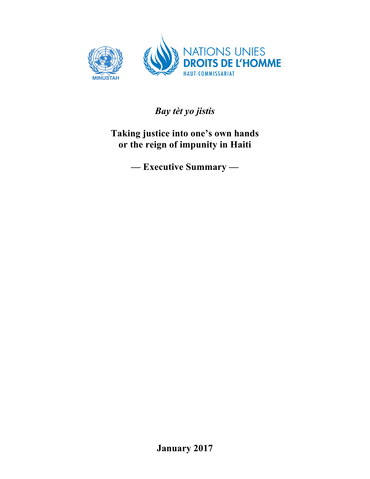

*Bay tèt yo jistis*

**Taking justice into one's own hands or the reign of impunity in Haiti**

**— Executive Summary —**